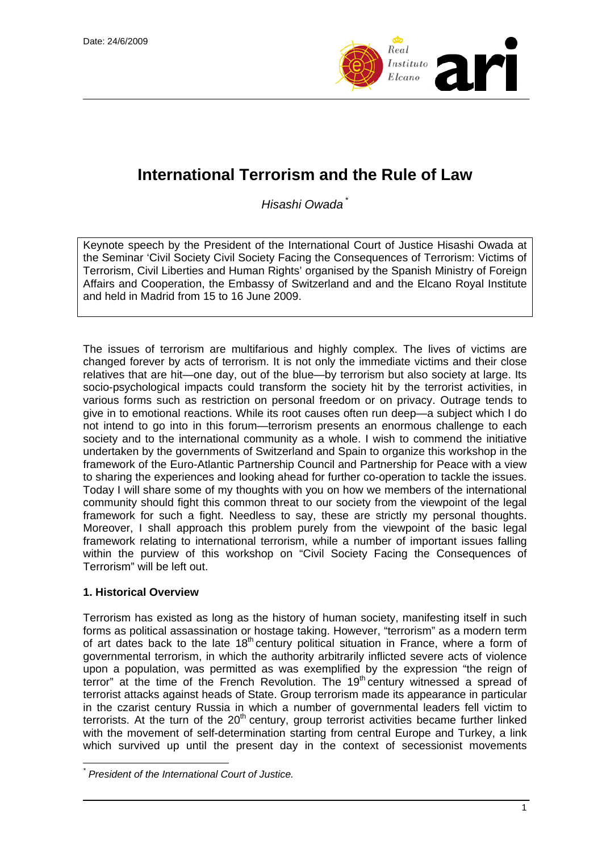

# **International Terrorism and the Rule of Law**

*Hisashi Owada* [\\*](#page-0-0)

Keynote speech by the President of the International Court of Justice Hisashi Owada at the Seminar 'Civil Society Civil Society Facing the Consequences of Terrorism: Victims of Terrorism, Civil Liberties and Human Rights' organised by the Spanish Ministry of Foreign Affairs and Cooperation, the Embassy of Switzerland and and the Elcano Royal Institute and held in Madrid from 15 to 16 June 2009.

The issues of terrorism are multifarious and highly complex. The lives of victims are changed forever by acts of terrorism. It is not only the immediate victims and their close relatives that are hit—one day, out of the blue—by terrorism but also society at large. Its socio-psychological impacts could transform the society hit by the terrorist activities, in various forms such as restriction on personal freedom or on privacy. Outrage tends to give in to emotional reactions. While its root causes often run deep—a subject which I do not intend to go into in this forum—terrorism presents an enormous challenge to each society and to the international community as a whole. I wish to commend the initiative undertaken by the governments of Switzerland and Spain to organize this workshop in the framework of the Euro-Atlantic Partnership Council and Partnership for Peace with a view to sharing the experiences and looking ahead for further co-operation to tackle the issues. Today I will share some of my thoughts with you on how we members of the international community should fight this common threat to our society from the viewpoint of the legal framework for such a fight. Needless to say, these are strictly my personal thoughts. Moreover, I shall approach this problem purely from the viewpoint of the basic legal framework relating to international terrorism, while a number of important issues falling within the purview of this workshop on "Civil Society Facing the Consequences of Terrorism" will be left out.

## **1. Historical Overview**

 $\overline{a}$ 

Terrorism has existed as long as the history of human society, manifesting itself in such forms as political assassination or hostage taking. However, "terrorism" as a modern term of art dates back to the late 18<sup>th</sup> century political situation in France, where a form of governmental terrorism, in which the authority arbitrarily inflicted severe acts of violence upon a population, was permitted as was exemplified by the expression "the reign of terror" at the time of the French Revolution. The  $19<sup>th</sup>$  century witnessed a spread of terrorist attacks against heads of State. Group terrorism made its appearance in particular in the czarist century Russia in which a number of governmental leaders fell victim to terrorists. At the turn of the  $20<sup>th</sup>$  century, group terrorist activities became further linked with the movement of self-determination starting from central Europe and Turkey, a link which survived up until the present day in the context of secessionist movements

<span id="page-0-0"></span>*<sup>\*</sup> President of the International Court of Justice.*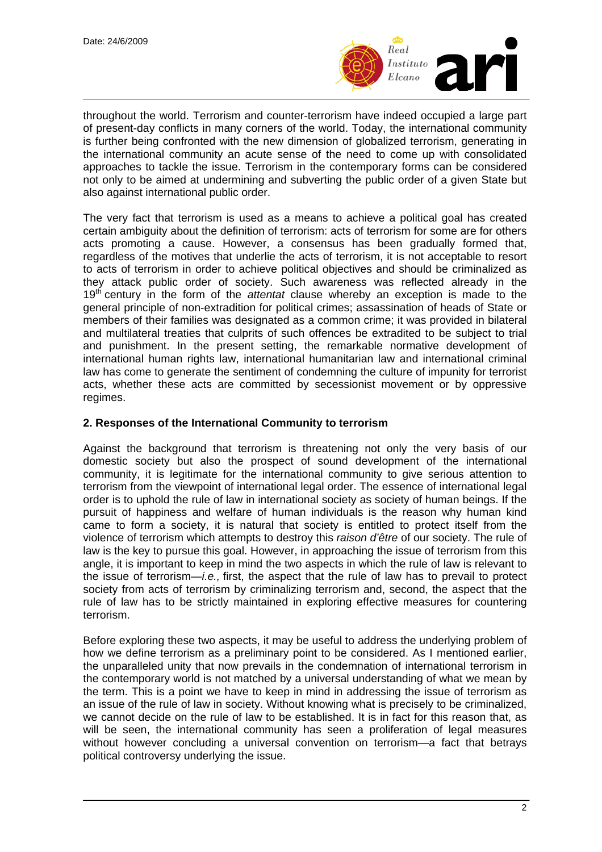

throughout the world. Terrorism and counter-terrorism have indeed occupied a large part of present-day conflicts in many corners of the world. Today, the international community is further being confronted with the new dimension of globalized terrorism, generating in the international community an acute sense of the need to come up with consolidated approaches to tackle the issue. Terrorism in the contemporary forms can be considered not only to be aimed at undermining and subverting the public order of a given State but also against international public order.

The very fact that terrorism is used as a means to achieve a political goal has created certain ambiguity about the definition of terrorism: acts of terrorism for some are for others acts promoting a cause. However, a consensus has been gradually formed that, regardless of the motives that underlie the acts of terrorism, it is not acceptable to resort to acts of terrorism in order to achieve political objectives and should be criminalized as they attack public order of society. Such awareness was reflected already in the 19th century in the form of the *attentat* clause whereby an exception is made to the general principle of non-extradition for political crimes; assassination of heads of State or members of their families was designated as a common crime; it was provided in bilateral and multilateral treaties that culprits of such offences be extradited to be subject to trial and punishment. In the present setting, the remarkable normative development of international human rights law, international humanitarian law and international criminal law has come to generate the sentiment of condemning the culture of impunity for terrorist acts, whether these acts are committed by secessionist movement or by oppressive regimes.

#### **2. Responses of the International Community to terrorism**

Against the background that terrorism is threatening not only the very basis of our domestic society but also the prospect of sound development of the international community, it is legitimate for the international community to give serious attention to terrorism from the viewpoint of international legal order. The essence of international legal order is to uphold the rule of law in international society as society of human beings. If the pursuit of happiness and welfare of human individuals is the reason why human kind came to form a society, it is natural that society is entitled to protect itself from the violence of terrorism which attempts to destroy this *raison d'être* of our society. The rule of law is the key to pursue this goal. However, in approaching the issue of terrorism from this angle, it is important to keep in mind the two aspects in which the rule of law is relevant to the issue of terrorism—*i.e.,* first, the aspect that the rule of law has to prevail to protect society from acts of terrorism by criminalizing terrorism and, second, the aspect that the rule of law has to be strictly maintained in exploring effective measures for countering terrorism.

Before exploring these two aspects, it may be useful to address the underlying problem of how we define terrorism as a preliminary point to be considered. As I mentioned earlier, the unparalleled unity that now prevails in the condemnation of international terrorism in the contemporary world is not matched by a universal understanding of what we mean by the term. This is a point we have to keep in mind in addressing the issue of terrorism as an issue of the rule of law in society. Without knowing what is precisely to be criminalized, we cannot decide on the rule of law to be established. It is in fact for this reason that, as will be seen, the international community has seen a proliferation of legal measures without however concluding a universal convention on terrorism—a fact that betrays political controversy underlying the issue.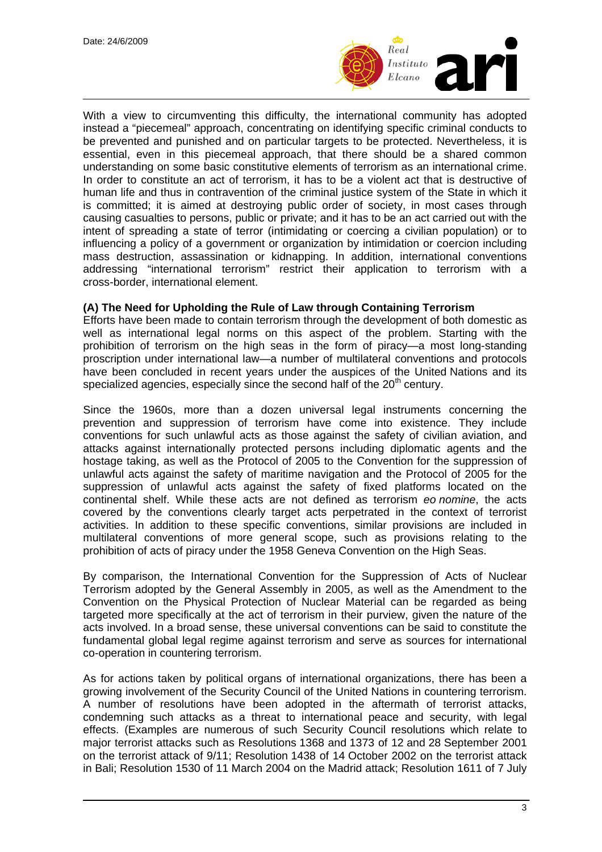

With a view to circumventing this difficulty, the international community has adopted instead a "piecemeal" approach, concentrating on identifying specific criminal conducts to be prevented and punished and on particular targets to be protected. Nevertheless, it is essential, even in this piecemeal approach, that there should be a shared common understanding on some basic constitutive elements of terrorism as an international crime. In order to constitute an act of terrorism, it has to be a violent act that is destructive of human life and thus in contravention of the criminal justice system of the State in which it is committed; it is aimed at destroying public order of society, in most cases through causing casualties to persons, public or private; and it has to be an act carried out with the intent of spreading a state of terror (intimidating or coercing a civilian population) or to influencing a policy of a government or organization by intimidation or coercion including mass destruction, assassination or kidnapping. In addition, international conventions addressing "international terrorism" restrict their application to terrorism with a cross-border, international element.

#### **(A) The Need for Upholding the Rule of Law through Containing Terrorism**

Efforts have been made to contain terrorism through the development of both domestic as well as international legal norms on this aspect of the problem. Starting with the prohibition of terrorism on the high seas in the form of piracy—a most long-standing proscription under international law—a number of multilateral conventions and protocols have been concluded in recent years under the auspices of the United Nations and its specialized agencies, especially since the second half of the  $20<sup>th</sup>$  century.

Since the 1960s, more than a dozen universal legal instruments concerning the prevention and suppression of terrorism have come into existence. They include conventions for such unlawful acts as those against the safety of civilian aviation, and attacks against internationally protected persons including diplomatic agents and the hostage taking, as well as the Protocol of 2005 to the Convention for the suppression of unlawful acts against the safety of maritime navigation and the Protocol of 2005 for the suppression of unlawful acts against the safety of fixed platforms located on the continental shelf. While these acts are not defined as terrorism *eo nomine*, the acts covered by the conventions clearly target acts perpetrated in the context of terrorist activities. In addition to these specific conventions, similar provisions are included in multilateral conventions of more general scope, such as provisions relating to the prohibition of acts of piracy under the 1958 Geneva Convention on the High Seas.

By comparison, the International Convention for the Suppression of Acts of Nuclear Terrorism adopted by the General Assembly in 2005, as well as the Amendment to the Convention on the Physical Protection of Nuclear Material can be regarded as being targeted more specifically at the act of terrorism in their purview, given the nature of the acts involved. In a broad sense, these universal conventions can be said to constitute the fundamental global legal regime against terrorism and serve as sources for international co-operation in countering terrorism.

As for actions taken by political organs of international organizations, there has been a growing involvement of the Security Council of the United Nations in countering terrorism. A number of resolutions have been adopted in the aftermath of terrorist attacks, condemning such attacks as a threat to international peace and security, with legal effects. (Examples are numerous of such Security Council resolutions which relate to major terrorist attacks such as Resolutions 1368 and 1373 of 12 and 28 September 2001 on the terrorist attack of 9/11; Resolution 1438 of 14 October 2002 on the terrorist attack in Bali; Resolution 1530 of 11 March 2004 on the Madrid attack; Resolution 1611 of 7 July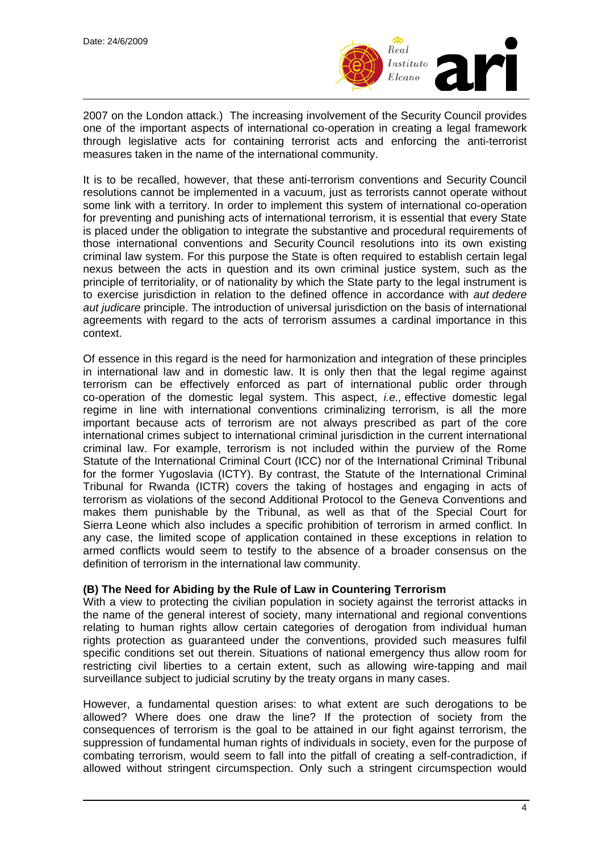

2007 on the London attack.) The increasing involvement of the Security Council provides one of the important aspects of international co-operation in creating a legal framework through legislative acts for containing terrorist acts and enforcing the anti-terrorist measures taken in the name of the international community.

It is to be recalled, however, that these anti-terrorism conventions and Security Council resolutions cannot be implemented in a vacuum, just as terrorists cannot operate without some link with a territory. In order to implement this system of international co-operation for preventing and punishing acts of international terrorism, it is essential that every State is placed under the obligation to integrate the substantive and procedural requirements of those international conventions and Security Council resolutions into its own existing criminal law system. For this purpose the State is often required to establish certain legal nexus between the acts in question and its own criminal justice system, such as the principle of territoriality, or of nationality by which the State party to the legal instrument is to exercise jurisdiction in relation to the defined offence in accordance with *aut dedere aut judicare* principle. The introduction of universal jurisdiction on the basis of international agreements with regard to the acts of terrorism assumes a cardinal importance in this context.

Of essence in this regard is the need for harmonization and integration of these principles in international law and in domestic law. It is only then that the legal regime against terrorism can be effectively enforced as part of international public order through co-operation of the domestic legal system. This aspect, *i.e.,* effective domestic legal regime in line with international conventions criminalizing terrorism, is all the more important because acts of terrorism are not always prescribed as part of the core international crimes subject to international criminal jurisdiction in the current international criminal law. For example, terrorism is not included within the purview of the Rome Statute of the International Criminal Court (ICC) nor of the International Criminal Tribunal for the former Yugoslavia (ICTY). By contrast, the Statute of the International Criminal Tribunal for Rwanda (ICTR) covers the taking of hostages and engaging in acts of terrorism as violations of the second Additional Protocol to the Geneva Conventions and makes them punishable by the Tribunal, as well as that of the Special Court for Sierra Leone which also includes a specific prohibition of terrorism in armed conflict. In any case, the limited scope of application contained in these exceptions in relation to armed conflicts would seem to testify to the absence of a broader consensus on the definition of terrorism in the international law community.

## **(B) The Need for Abiding by the Rule of Law in Countering Terrorism**

With a view to protecting the civilian population in society against the terrorist attacks in the name of the general interest of society, many international and regional conventions relating to human rights allow certain categories of derogation from individual human rights protection as guaranteed under the conventions, provided such measures fulfil specific conditions set out therein. Situations of national emergency thus allow room for restricting civil liberties to a certain extent, such as allowing wire-tapping and mail surveillance subject to judicial scrutiny by the treaty organs in many cases.

However, a fundamental question arises: to what extent are such derogations to be allowed? Where does one draw the line? If the protection of society from the consequences of terrorism is the goal to be attained in our fight against terrorism, the suppression of fundamental human rights of individuals in society, even for the purpose of combating terrorism, would seem to fall into the pitfall of creating a self-contradiction, if allowed without stringent circumspection. Only such a stringent circumspection would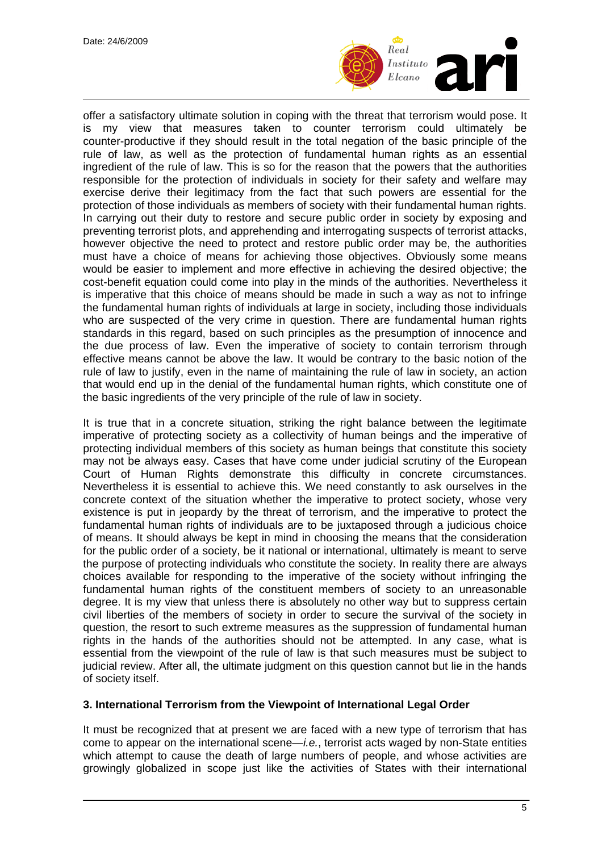

offer a satisfactory ultimate solution in coping with the threat that terrorism would pose. It is my view that measures taken to counter terrorism could ultimately be counter-productive if they should result in the total negation of the basic principle of the rule of law, as well as the protection of fundamental human rights as an essential ingredient of the rule of law. This is so for the reason that the powers that the authorities responsible for the protection of individuals in society for their safety and welfare may exercise derive their legitimacy from the fact that such powers are essential for the protection of those individuals as members of society with their fundamental human rights. In carrying out their duty to restore and secure public order in society by exposing and preventing terrorist plots, and apprehending and interrogating suspects of terrorist attacks, however objective the need to protect and restore public order may be, the authorities must have a choice of means for achieving those objectives. Obviously some means would be easier to implement and more effective in achieving the desired objective; the cost-benefit equation could come into play in the minds of the authorities. Nevertheless it is imperative that this choice of means should be made in such a way as not to infringe the fundamental human rights of individuals at large in society, including those individuals who are suspected of the very crime in question. There are fundamental human rights standards in this regard, based on such principles as the presumption of innocence and the due process of law. Even the imperative of society to contain terrorism through effective means cannot be above the law. It would be contrary to the basic notion of the rule of law to justify, even in the name of maintaining the rule of law in society, an action that would end up in the denial of the fundamental human rights, which constitute one of the basic ingredients of the very principle of the rule of law in society.

It is true that in a concrete situation, striking the right balance between the legitimate imperative of protecting society as a collectivity of human beings and the imperative of protecting individual members of this society as human beings that constitute this society may not be always easy. Cases that have come under judicial scrutiny of the European Court of Human Rights demonstrate this difficulty in concrete circumstances. Nevertheless it is essential to achieve this. We need constantly to ask ourselves in the concrete context of the situation whether the imperative to protect society, whose very existence is put in jeopardy by the threat of terrorism, and the imperative to protect the fundamental human rights of individuals are to be juxtaposed through a judicious choice of means. It should always be kept in mind in choosing the means that the consideration for the public order of a society, be it national or international, ultimately is meant to serve the purpose of protecting individuals who constitute the society. In reality there are always choices available for responding to the imperative of the society without infringing the fundamental human rights of the constituent members of society to an unreasonable degree. It is my view that unless there is absolutely no other way but to suppress certain civil liberties of the members of society in order to secure the survival of the society in question, the resort to such extreme measures as the suppression of fundamental human rights in the hands of the authorities should not be attempted. In any case, what is essential from the viewpoint of the rule of law is that such measures must be subject to judicial review. After all, the ultimate judgment on this question cannot but lie in the hands of society itself.

## **3. International Terrorism from the Viewpoint of International Legal Order**

It must be recognized that at present we are faced with a new type of terrorism that has come to appear on the international scene—*i.e.*, terrorist acts waged by non-State entities which attempt to cause the death of large numbers of people, and whose activities are growingly globalized in scope just like the activities of States with their international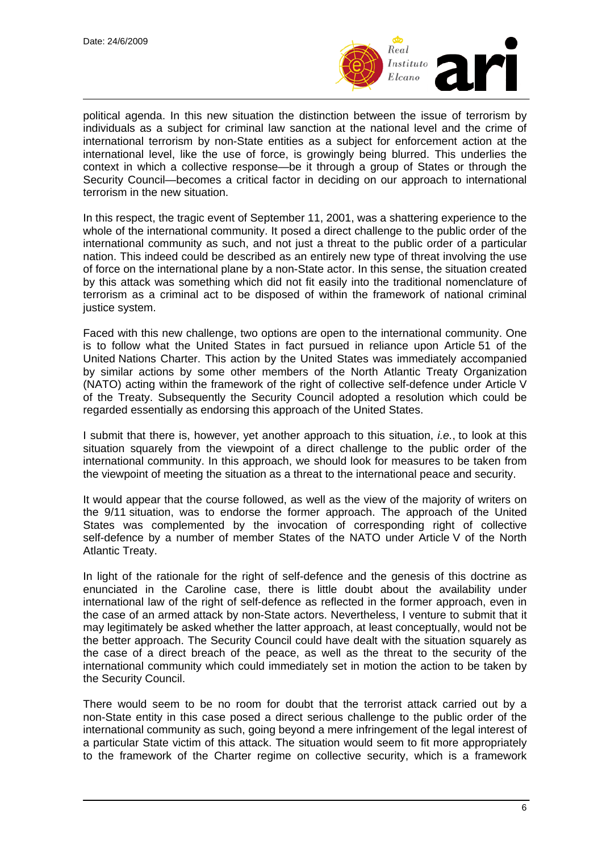

political agenda. In this new situation the distinction between the issue of terrorism by individuals as a subject for criminal law sanction at the national level and the crime of international terrorism by non-State entities as a subject for enforcement action at the international level, like the use of force, is growingly being blurred. This underlies the context in which a collective response—be it through a group of States or through the Security Council—becomes a critical factor in deciding on our approach to international terrorism in the new situation.

In this respect, the tragic event of September 11, 2001, was a shattering experience to the whole of the international community. It posed a direct challenge to the public order of the international community as such, and not just a threat to the public order of a particular nation. This indeed could be described as an entirely new type of threat involving the use of force on the international plane by a non-State actor. In this sense, the situation created by this attack was something which did not fit easily into the traditional nomenclature of terrorism as a criminal act to be disposed of within the framework of national criminal justice system.

Faced with this new challenge, two options are open to the international community. One is to follow what the United States in fact pursued in reliance upon Article 51 of the United Nations Charter. This action by the United States was immediately accompanied by similar actions by some other members of the North Atlantic Treaty Organization (NATO) acting within the framework of the right of collective self-defence under Article V of the Treaty. Subsequently the Security Council adopted a resolution which could be regarded essentially as endorsing this approach of the United States.

I submit that there is, however, yet another approach to this situation, *i.e.*, to look at this situation squarely from the viewpoint of a direct challenge to the public order of the international community. In this approach, we should look for measures to be taken from the viewpoint of meeting the situation as a threat to the international peace and security.

It would appear that the course followed, as well as the view of the majority of writers on the 9/11 situation, was to endorse the former approach. The approach of the United States was complemented by the invocation of corresponding right of collective self-defence by a number of member States of the NATO under Article V of the North Atlantic Treaty.

In light of the rationale for the right of self-defence and the genesis of this doctrine as enunciated in the Caroline case, there is little doubt about the availability under international law of the right of self-defence as reflected in the former approach, even in the case of an armed attack by non-State actors. Nevertheless, I venture to submit that it may legitimately be asked whether the latter approach, at least conceptually, would not be the better approach. The Security Council could have dealt with the situation squarely as the case of a direct breach of the peace, as well as the threat to the security of the international community which could immediately set in motion the action to be taken by the Security Council.

There would seem to be no room for doubt that the terrorist attack carried out by a non-State entity in this case posed a direct serious challenge to the public order of the international community as such, going beyond a mere infringement of the legal interest of a particular State victim of this attack. The situation would seem to fit more appropriately to the framework of the Charter regime on collective security, which is a framework